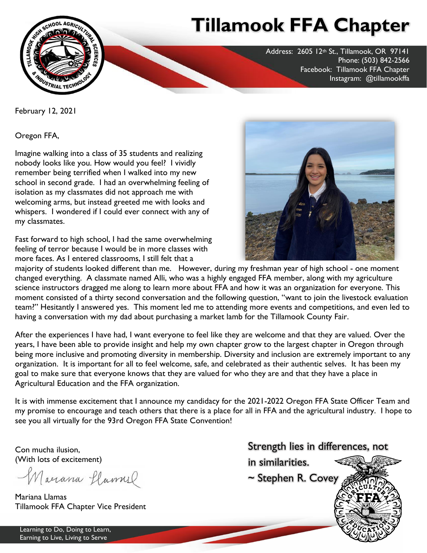

## **Tillamook FFA Chapter**

Address: 2605 12th St., Tillamook, OR 97141 Phone: (503) 842-2566 Facebook: Tillamook FFA Chapter Instagram: @tillamookffa

February 12, 2021

Oregon FFA,

Imagine walking into a class of 35 students and realizing nobody looks like you. How would you feel? I vividly remember being terrified when I walked into my new school in second grade. I had an overwhelming feeling of isolation as my classmates did not approach me with welcoming arms, but instead greeted me with looks and whispers. I wondered if I could ever connect with any of my classmates.

Fast forward to high school, I had the same overwhelming feeling of terror because I would be in more classes with more faces. As I entered classrooms, I still felt that a



majority of students looked different than me. However, during my freshman year of high school - one moment changed everything. A classmate named Alli, who was a highly engaged FFA member, along with my agriculture science instructors dragged me along to learn more about FFA and how it was an organization for everyone. This moment consisted of a thirty second conversation and the following question, "want to join the livestock evaluation team?" Hesitantly I answered yes. This moment led me to attending more events and competitions, and even led to having a conversation with my dad about purchasing a market lamb for the Tillamook County Fair.

After the experiences I have had, I want everyone to feel like they are welcome and that they are valued. Over the years, I have been able to provide insight and help my own chapter grow to the largest chapter in Oregon through being more inclusive and promoting diversity in membership. Diversity and inclusion are extremely important to any organization. It is important for all to feel welcome, safe, and celebrated as their authentic selves. It has been my goal to make sure that everyone knows that they are valued for who they are and that they have a place in Agricultural Education and the FFA organization.

It is with immense excitement that I announce my candidacy for the 2021-2022 Oregon FFA State Officer Team and my promise to encourage and teach others that there is a place for all in FFA and the agricultural industry. I hope to see you all virtually for the 93rd Oregon FFA State Convention!

Con mucha ilusion, (With lots of excitement)

Macrana flamuel

Mariana Llamas Tillamook FFA Chapter Vice President



Learning to Do, Doing to Learn, Earning to Live, Living to Serve